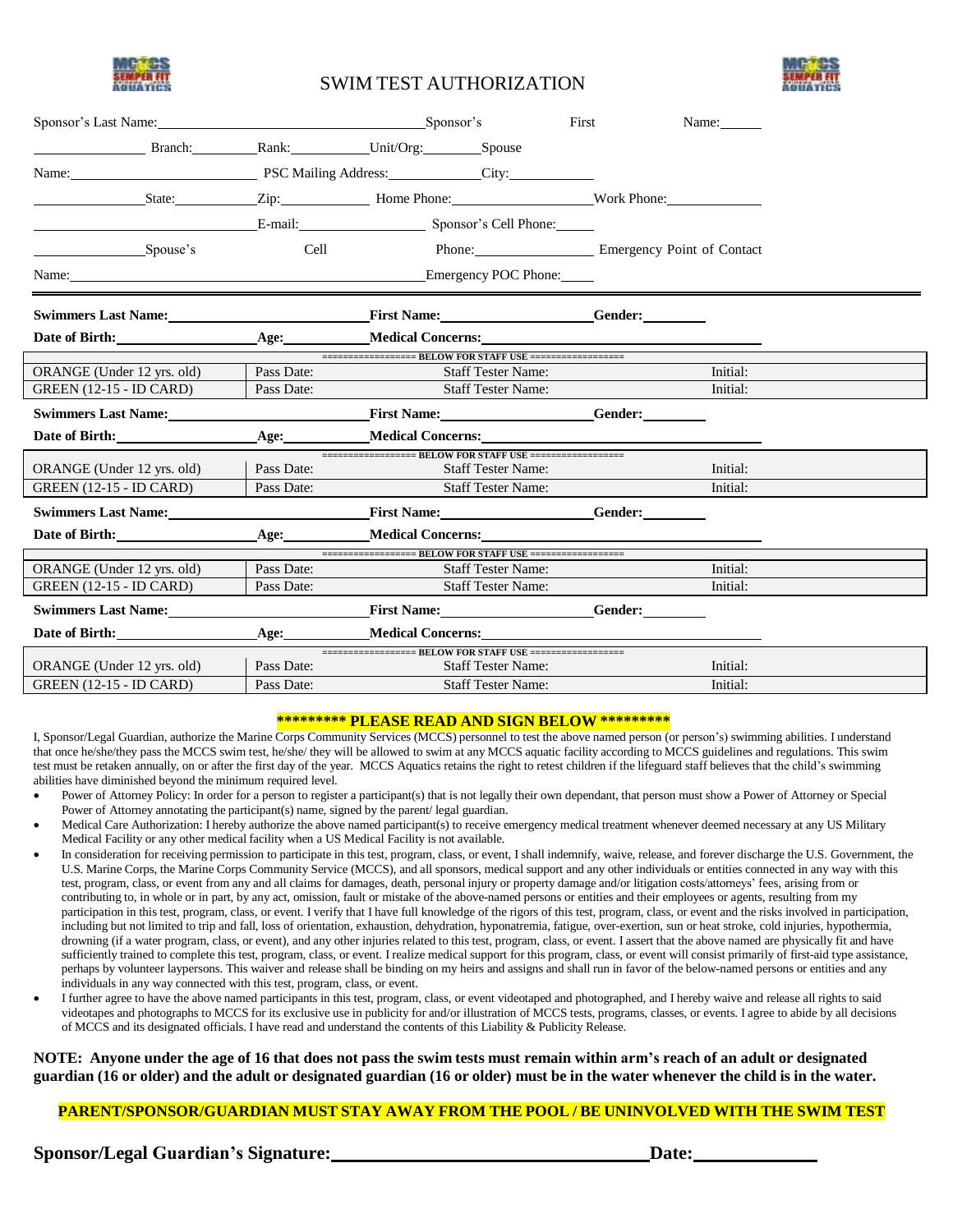

# SWIM TEST AUTHORIZATION



| Sponsor's Last Name: Sponsor's Case Name:                    |                                                                                                                                                                                                                                      |                                                 |                                                              | First                     | Name:                             |
|--------------------------------------------------------------|--------------------------------------------------------------------------------------------------------------------------------------------------------------------------------------------------------------------------------------|-------------------------------------------------|--------------------------------------------------------------|---------------------------|-----------------------------------|
|                                                              |                                                                                                                                                                                                                                      | Branch: Rank: Unit/Org: Spouse                  |                                                              |                           |                                   |
| Name: PSC Mailing Address: City:                             |                                                                                                                                                                                                                                      |                                                 |                                                              |                           |                                   |
|                                                              |                                                                                                                                                                                                                                      |                                                 |                                                              |                           |                                   |
|                                                              |                                                                                                                                                                                                                                      | E-mail: Sponsor's Cell Phone:                   |                                                              |                           |                                   |
| Spouse's                                                     |                                                                                                                                                                                                                                      |                                                 | Cell                                                         |                           | Phone: Emergency Point of Contact |
|                                                              |                                                                                                                                                                                                                                      | Name: Emergency POC Phone:                      |                                                              |                           |                                   |
|                                                              |                                                                                                                                                                                                                                      |                                                 |                                                              |                           |                                   |
|                                                              | Date of Birth: <u>contract of the set of the set of the set of the set of the set of the set of the set of the set of the set of the set of the set of the set of the set of the set of the set of the set of the set of the set</u> |                                                 | Age: Medical Concerns:                                       |                           |                                   |
|                                                              |                                                                                                                                                                                                                                      | Pass Date:                                      | =================== BELOW FOR STAFF USE ===================  |                           | Initial:                          |
| ORANGE (Under 12 yrs. old)<br><b>GREEN</b> (12-15 - ID CARD) |                                                                                                                                                                                                                                      | Pass Date:                                      | <b>Staff Tester Name:</b><br><b>Staff Tester Name:</b>       |                           | Initial:                          |
| Swimmers Last Name:                                          |                                                                                                                                                                                                                                      |                                                 | <u>First Name: Gender:</u>                                   |                           |                                   |
| Date of Birth:                                               |                                                                                                                                                                                                                                      |                                                 | Age: Medical Concerns:                                       |                           |                                   |
| ORANGE (Under 12 yrs. old)                                   |                                                                                                                                                                                                                                      | Pass Date:                                      | =================== BELOW FOR STAFF USE ===================  | <b>Staff Tester Name:</b> | Initial:                          |
| <b>GREEN (12-15 - ID CARD)</b>                               |                                                                                                                                                                                                                                      | Pass Date:                                      | <b>Staff Tester Name:</b>                                    |                           | Initial:                          |
|                                                              |                                                                                                                                                                                                                                      | Swimmers Last Name: First Name: Gender: Gender: |                                                              |                           |                                   |
|                                                              | Date of Birth:                                                                                                                                                                                                                       |                                                 | Age: Medical Concerns:                                       |                           |                                   |
|                                                              |                                                                                                                                                                                                                                      |                                                 | =================== BELOW FOR STAFF USE ===================  |                           |                                   |
| ORANGE (Under 12 yrs. old)                                   |                                                                                                                                                                                                                                      | Pass Date:                                      |                                                              | <b>Staff Tester Name:</b> | Initial:                          |
| <b>GREEN</b> (12-15 - ID CARD)                               |                                                                                                                                                                                                                                      | Pass Date:                                      |                                                              | <b>Staff Tester Name:</b> | Initial:                          |
| Swimmers Last Name: Tirst Name: Gender: Gender: Gender:      |                                                                                                                                                                                                                                      |                                                 |                                                              |                           |                                   |
|                                                              | Date of Birth:                                                                                                                                                                                                                       |                                                 | Age: Medical Concerns:                                       |                           |                                   |
|                                                              |                                                                                                                                                                                                                                      | Pass Date:                                      | ==================== BELOW FOR STAFF USE =================== |                           | Initial:                          |
| ORANGE (Under 12 yrs. old)<br><b>GREEN (12-15 - ID CARD)</b> |                                                                                                                                                                                                                                      | Pass Date:                                      | <b>Staff Tester Name:</b><br><b>Staff Tester Name:</b>       |                           | Initial:                          |
|                                                              |                                                                                                                                                                                                                                      |                                                 |                                                              |                           |                                   |

#### **\*\*\*\*\*\*\*\*\* PLEASE READ AND SIGN BELOW \*\*\*\*\*\*\*\*\***

I, Sponsor/Legal Guardian, authorize the Marine Corps Community Services (MCCS) personnel to test the above named person (or person's) swimming abilities. I understand that once he/she/they pass the MCCS swim test, he/she/ they will be allowed to swim at any MCCS aquatic facility according to MCCS guidelines and regulations. This swim test must be retaken annually, on or after the first day of the year. MCCS Aquatics retains the right to retest children if the lifeguard staff believes that the child's swimming abilities have diminished beyond the minimum required level.

- Power of Attorney Policy: In order for a person to register a participant(s) that is not legally their own dependant, that person must show a Power of Attorney or Special Power of Attorney annotating the participant(s) name, signed by the parent/ legal guardian.
- Medical Care Authorization: I hereby authorize the above named participant(s) to receive emergency medical treatment whenever deemed necessary at any US Military Medical Facility or any other medical facility when a US Medical Facility is not available.
- In consideration for receiving permission to participate in this test, program, class, or event, I shall indemnify, waive, release, and forever discharge the U.S. Government, the U.S. Marine Corps, the Marine Corps Community Service (MCCS), and all sponsors, medical support and any other individuals or entities connected in any way with this test, program, class, or event from any and all claims for damages, death, personal injury or property damage and/or litigation costs/attorneys' fees, arising from or contributing to, in whole or in part, by any act, omission, fault or mistake of the above-named persons or entities and their employees or agents, resulting from my participation in this test, program, class, or event. I verify that I have full knowledge of the rigors of this test, program, class, or event and the risks involved in participation, including but not limited to trip and fall, loss of orientation, exhaustion, dehydration, hyponatremia, fatigue, over-exertion, sun or heat stroke, cold injuries, hypothermia, drowning (if a water program, class, or event), and any other injuries related to this test, program, class, or event. I assert that the above named are physically fit and have sufficiently trained to complete this test, program, class, or event. I realize medical support for this program, class, or event will consist primarily of first-aid type assistance, perhaps by volunteer laypersons. This waiver and release shall be binding on my heirs and assigns and shall run in favor of the below-named persons or entities and any individuals in any way connected with this test, program, class, or event.
- I further agree to have the above named participants in this test, program, class, or event videotaped and photographed, and I hereby waive and release all rights to said videotapes and photographs to MCCS for its exclusive use in publicity for and/or illustration of MCCS tests, programs, classes, or events. I agree to abide by all decisions of MCCS and its designated officials. I have read and understand the contents of this Liability & Publicity Release.

#### NOTE: Anyone under the age of 16 that does not pass the swim tests must remain within arm's reach of an adult or designated guardian (16 or older) and the adult or designated guardian (16 or older) must be in the water whenever the child is in the water.

#### **PARENT/SPONSOR/GUARDIAN MUST STAY AWAY FROM THE POOL / BE UNINVOLVED WITH THE SWIM TEST**

**Sponsor/Legal Guardian's Signature: Date:**